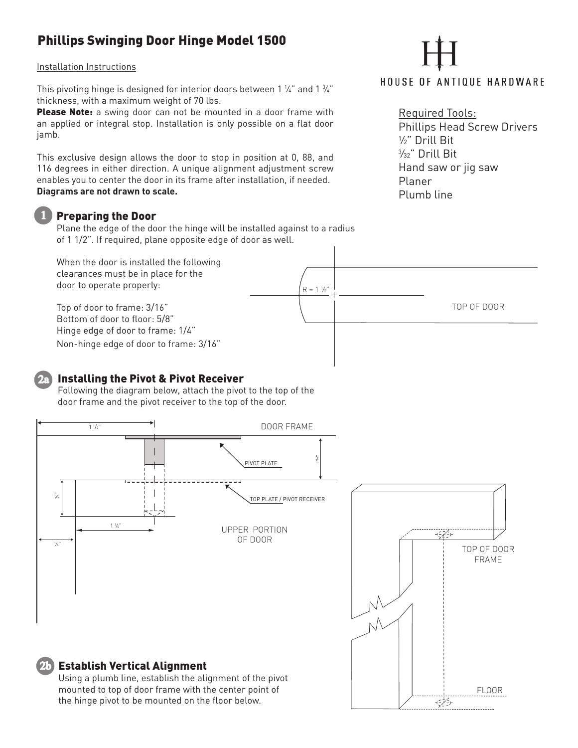## Phillips Swinging Door Hinge Model 1500

Installation Instructions

This pivoting hinge is designed for interior doors between 1  $\%$  " and 1  $\%$  " thickness, with a maximum weight of 70 lbs.

Please Note: a swing door can not be mounted in a door frame with an applied or integral stop. Installation is only possible on a flat door jamb.

This exclusive design allows the door to stop in position at 0, 88, and 116 degrees in either direction. A unique alignment adjustment screw enables you to center the door in its frame after installation, if needed. **Diagrams are not drawn to scale.** 

### Preparing the Door

Plane the edge of the door the hinge will be installed against to a radius of 1 1/2". If required, plane opposite edge of door as well.

When the door is installed the following clearances must be in place for the door to operate properly: Top of door to frame: 3/16" Bottom of door to floor: 5/8" Hinge edge of door to frame: 1/4" Non-hinge edge of door to frame: 3/16"  $R = 1\frac{1}{2}$ TOP OF DOOR

## Installing the Pivot & Pivot Receiver

Following the diagram below, attach the pivot to the top of the door frame and the pivot receiver to the top of the door.



# **HOUSE OF ANTIQUE HARDWARE**

# Required Tools:

Phillips Head Screw Drivers 1 ⁄2" Drill Bit 3 ⁄32" Drill Bit Hand saw or jig saw Planer Plumb line